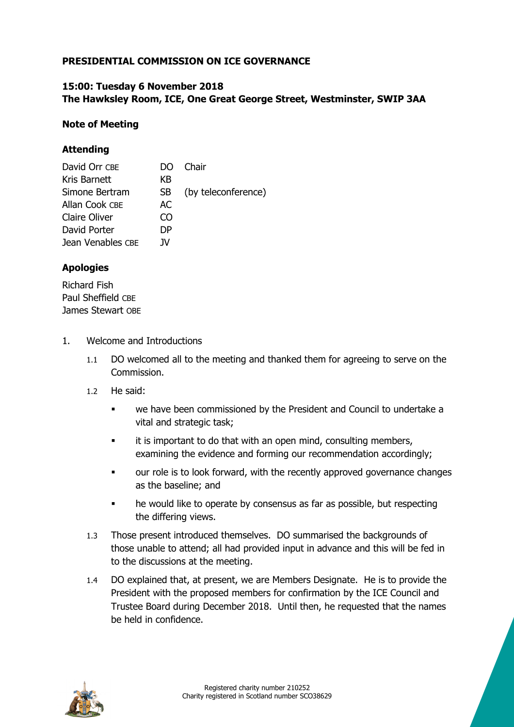# **PRESIDENTIAL COMMISSION ON ICE GOVERNANCE**

#### **15:00: Tuesday 6 November 2018 The Hawksley Room, ICE, One Great George Street, Westminster, SWIP 3AA**

#### **Note of Meeting**

## **Attending**

| David Orr CBE     | DO  | . Chair             |
|-------------------|-----|---------------------|
| Kris Barnett      | КB  |                     |
| Simone Bertram    | SB. | (by teleconference) |
| Allan Cook CBE    | AC  |                     |
| Claire Oliver     | ന   |                     |
| David Porter      | DΡ  |                     |
| Jean Venables CBE | 1V  |                     |

## **Apologies**

Richard Fish Paul Sheffield CBE James Stewart OBE

- 1. Welcome and Introductions
	- 1.1 DO welcomed all to the meeting and thanked them for agreeing to serve on the Commission.
	- 1.2 He said:
		- we have been commissioned by the President and Council to undertake a vital and strategic task;
		- **it is important to do that with an open mind, consulting members,** examining the evidence and forming our recommendation accordingly;
		- **•** our role is to look forward, with the recently approved governance changes as the baseline; and
		- he would like to operate by consensus as far as possible, but respecting the differing views.
	- 1.3 Those present introduced themselves. DO summarised the backgrounds of those unable to attend; all had provided input in advance and this will be fed in to the discussions at the meeting.
	- 1.4 DO explained that, at present, we are Members Designate. He is to provide the President with the proposed members for confirmation by the ICE Council and Trustee Board during December 2018. Until then, he requested that the names be held in confidence.

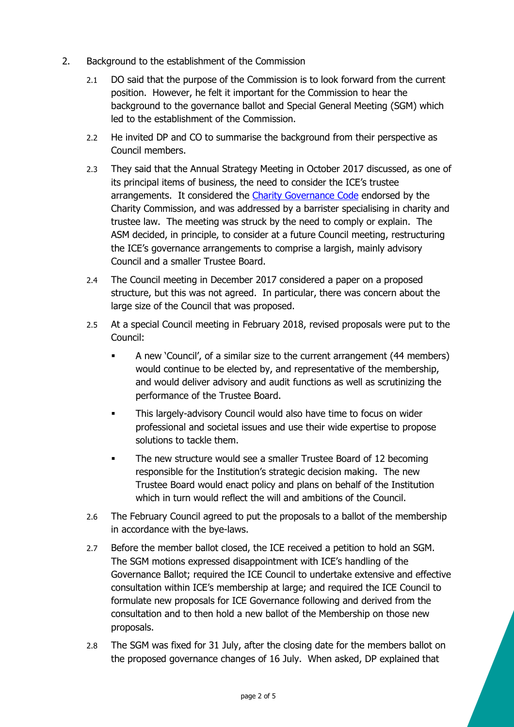- 2. Background to the establishment of the Commission
	- 2.1 DO said that the purpose of the Commission is to look forward from the current position. However, he felt it important for the Commission to hear the background to the governance ballot and Special General Meeting (SGM) which led to the establishment of the Commission.
	- 2.2 He invited DP and CO to summarise the background from their perspective as Council members.
	- 2.3 They said that the Annual Strategy Meeting in October 2017 discussed, as one of its principal items of business, the need to consider the ICE's trustee arrangements. It considered the Charity Governance Code endorsed by the Charity Commission, and was addressed by a barrister specialising in charity and trustee law. The meeting was struck by the need to comply or explain. The ASM decided, in principle, to consider at a future Council meeting, restructuring the ICE's governance arrangements to comprise a largish, mainly advisory Council and a smaller Trustee Board.
	- 2.4 The Council meeting in December 2017 considered a paper on a proposed structure, but this was not agreed. In particular, there was concern about the large size of the Council that was proposed.
	- 2.5 At a special Council meeting in February 2018, revised proposals were put to the Council:
		- A new 'Council', of a similar size to the current arrangement (44 members) would continue to be elected by, and representative of the membership, and would deliver advisory and audit functions as well as scrutinizing the performance of the Trustee Board.
		- **This largely-advisory Council would also have time to focus on wider** professional and societal issues and use their wide expertise to propose solutions to tackle them.
		- The new structure would see a smaller Trustee Board of 12 becoming responsible for the Institution's strategic decision making. The new Trustee Board would enact policy and plans on behalf of the Institution which in turn would reflect the will and ambitions of the Council.
	- 2.6 The February Council agreed to put the proposals to a ballot of the membership in accordance with the bye-laws.
	- 2.7 Before the member ballot closed, the ICE received a petition to hold an SGM. The SGM motions expressed disappointment with ICE's handling of the Governance Ballot; required the ICE Council to undertake extensive and effective consultation within ICE's membership at large; and required the ICE Council to formulate new proposals for ICE Governance following and derived from the consultation and to then hold a new ballot of the Membership on those new proposals.
	- 2.8 The SGM was fixed for 31 July, after the closing date for the members ballot on the proposed governance changes of 16 July. When asked, DP explained that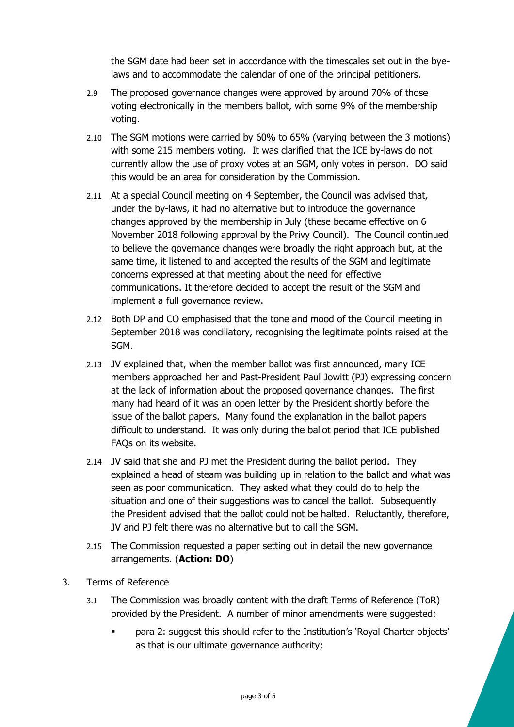the SGM date had been set in accordance with the timescales set out in the byelaws and to accommodate the calendar of one of the principal petitioners.

- 2.9 The proposed governance changes were approved by around 70% of those voting electronically in the members ballot, with some 9% of the membership voting.
- 2.10 The SGM motions were carried by 60% to 65% (varying between the 3 motions) with some 215 members voting. It was clarified that the ICE by-laws do not currently allow the use of proxy votes at an SGM, only votes in person. DO said this would be an area for consideration by the Commission.
- 2.11 At a special Council meeting on 4 September, the Council was advised that, under the by-laws, it had no alternative but to introduce the governance changes approved by the membership in July (these became effective on 6 November 2018 following approval by the Privy Council). The Council continued to believe the governance changes were broadly the right approach but, at the same time, it listened to and accepted the results of the SGM and legitimate concerns expressed at that meeting about the need for effective communications. It therefore decided to accept the result of the SGM and implement a full governance review.
- 2.12 Both DP and CO emphasised that the tone and mood of the Council meeting in September 2018 was conciliatory, recognising the legitimate points raised at the SGM.
- 2.13 JV explained that, when the member ballot was first announced, many ICE members approached her and Past-President Paul Jowitt (PJ) expressing concern at the lack of information about the proposed governance changes. The first many had heard of it was an open letter by the President shortly before the issue of the ballot papers. Many found the explanation in the ballot papers difficult to understand. It was only during the ballot period that ICE published FAQs on its website.
- 2.14 JV said that she and PJ met the President during the ballot period. They explained a head of steam was building up in relation to the ballot and what was seen as poor communication. They asked what they could do to help the situation and one of their suggestions was to cancel the ballot. Subsequently the President advised that the ballot could not be halted. Reluctantly, therefore, JV and PJ felt there was no alternative but to call the SGM.
- 2.15 The Commission requested a paper setting out in detail the new governance arrangements. (**Action: DO**)
- 3. Terms of Reference
	- 3.1 The Commission was broadly content with the draft Terms of Reference (ToR) provided by the President. A number of minor amendments were suggested:
		- para 2: suggest this should refer to the Institution's 'Royal Charter objects' as that is our ultimate governance authority;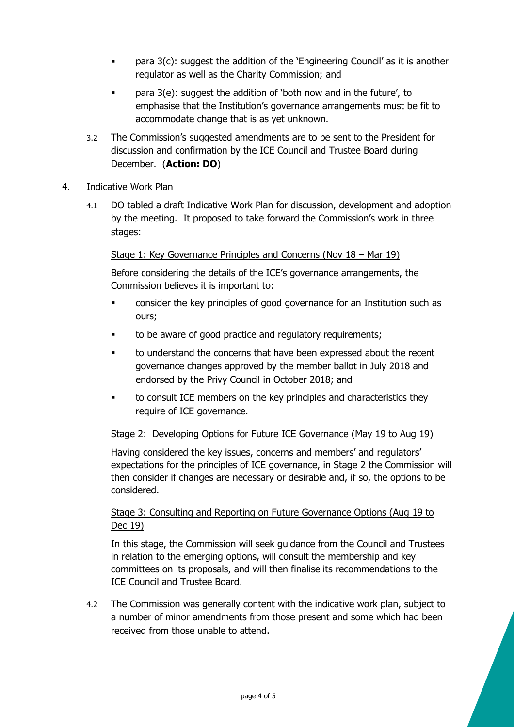- para 3(c): suggest the addition of the 'Engineering Council' as it is another regulator as well as the Charity Commission; and
- **•** para 3(e): suggest the addition of 'both now and in the future', to emphasise that the Institution's governance arrangements must be fit to accommodate change that is as yet unknown.
- 3.2 The Commission's suggested amendments are to be sent to the President for discussion and confirmation by the ICE Council and Trustee Board during December. (**Action: DO**)
- 4. Indicative Work Plan
	- 4.1 DO tabled a draft Indicative Work Plan for discussion, development and adoption by the meeting. It proposed to take forward the Commission's work in three stages:

Stage 1: Key Governance Principles and Concerns (Nov 18 – Mar 19)

Before considering the details of the ICE's governance arrangements, the Commission believes it is important to:

- consider the key principles of good governance for an Institution such as ours;
- **to be aware of good practice and regulatory requirements;**
- to understand the concerns that have been expressed about the recent governance changes approved by the member ballot in July 2018 and endorsed by the Privy Council in October 2018; and
- to consult ICE members on the key principles and characteristics they require of ICE governance.

## Stage 2: Developing Options for Future ICE Governance (May 19 to Aug 19)

Having considered the key issues, concerns and members' and regulators' expectations for the principles of ICE governance, in Stage 2 the Commission will then consider if changes are necessary or desirable and, if so, the options to be considered.

## Stage 3: Consulting and Reporting on Future Governance Options (Aug 19 to Dec 19)

In this stage, the Commission will seek guidance from the Council and Trustees in relation to the emerging options, will consult the membership and key committees on its proposals, and will then finalise its recommendations to the ICE Council and Trustee Board.

4.2 The Commission was generally content with the indicative work plan, subject to a number of minor amendments from those present and some which had been received from those unable to attend.